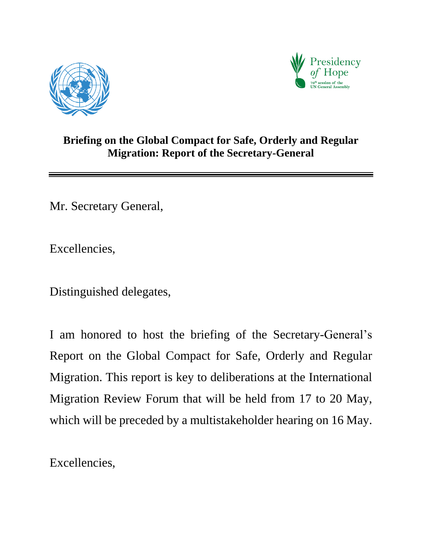



## **Briefing on the Global Compact for Safe, Orderly and Regular Migration: Report of the Secretary-General**

Mr. Secretary General,

Excellencies,

Distinguished delegates,

I am honored to host the briefing of the Secretary-General's Report on the Global Compact for Safe, Orderly and Regular Migration. This report is key to deliberations at the International Migration Review Forum that will be held from 17 to 20 May, which will be preceded by a multistakeholder hearing on 16 May.

Excellencies,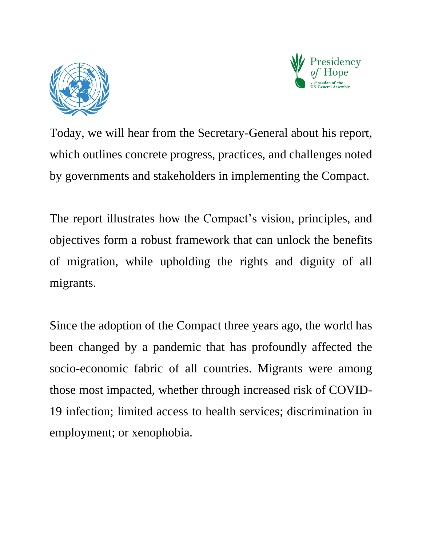



Today, we will hear from the Secretary-General about his report, which outlines concrete progress, practices, and challenges noted by governments and stakeholders in implementing the Compact.

The report illustrates how the Compact's vision, principles, and objectives form a robust framework that can unlock the benefits of migration, while upholding the rights and dignity of all migrants.

Since the adoption of the Compact three years ago, the world has been changed by a pandemic that has profoundly affected the socio-economic fabric of all countries. Migrants were among those most impacted, whether through increased risk of COVID-19 infection; limited access to health services; discrimination in employment; or xenophobia.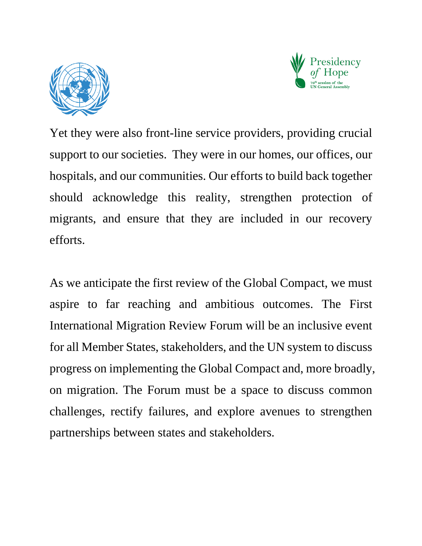



Yet they were also front-line service providers, providing crucial support to our societies. They were in our homes, our offices, our hospitals, and our communities. Our efforts to build back together should acknowledge this reality, strengthen protection of migrants, and ensure that they are included in our recovery efforts.

As we anticipate the first review of the Global Compact, we must aspire to far reaching and ambitious outcomes. The First International Migration Review Forum will be an inclusive event for all Member States, stakeholders, and the UN system to discuss progress on implementing the Global Compact and, more broadly, on migration. The Forum must be a space to discuss common challenges, rectify failures, and explore avenues to strengthen partnerships between states and stakeholders.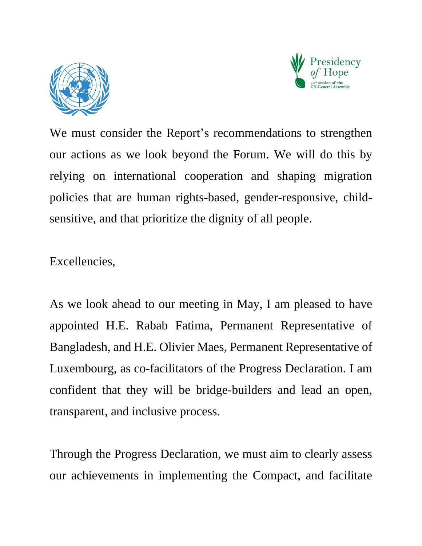



We must consider the Report's recommendations to strengthen our actions as we look beyond the Forum. We will do this by relying on international cooperation and shaping migration policies that are human rights-based, gender-responsive, childsensitive, and that prioritize the dignity of all people.

Excellencies,

As we look ahead to our meeting in May, I am pleased to have appointed H.E. Rabab Fatima, Permanent Representative of Bangladesh, and H.E. Olivier Maes, Permanent Representative of Luxembourg, as co-facilitators of the Progress Declaration. I am confident that they will be bridge-builders and lead an open, transparent, and inclusive process.

Through the Progress Declaration, we must aim to clearly assess our achievements in implementing the Compact, and facilitate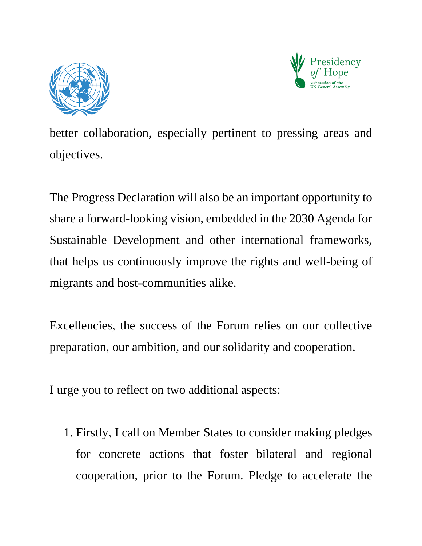



better collaboration, especially pertinent to pressing areas and objectives.

The Progress Declaration will also be an important opportunity to share a forward-looking vision, embedded in the 2030 Agenda for Sustainable Development and other international frameworks, that helps us continuously improve the rights and well-being of migrants and host-communities alike.

Excellencies, the success of the Forum relies on our collective preparation, our ambition, and our solidarity and cooperation.

I urge you to reflect on two additional aspects:

1. Firstly, I call on Member States to consider making pledges for concrete actions that foster bilateral and regional cooperation, prior to the Forum. Pledge to accelerate the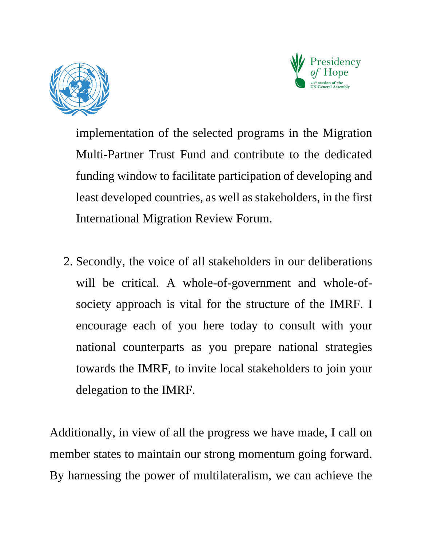



implementation of the selected programs in the Migration Multi-Partner Trust Fund and contribute to the dedicated funding window to facilitate participation of developing and least developed countries, as well as stakeholders, in the first International Migration Review Forum.

2. Secondly, the voice of all stakeholders in our deliberations will be critical. A whole-of-government and whole-ofsociety approach is vital for the structure of the IMRF. I encourage each of you here today to consult with your national counterparts as you prepare national strategies towards the IMRF, to invite local stakeholders to join your delegation to the IMRF.

Additionally, in view of all the progress we have made, I call on member states to maintain our strong momentum going forward. By harnessing the power of multilateralism, we can achieve the